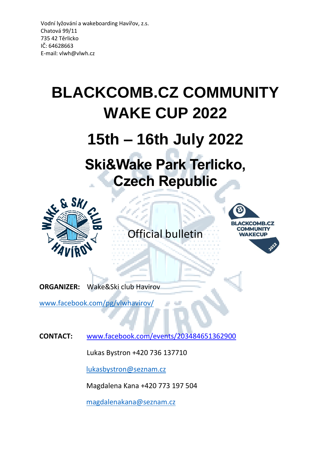# **BLACKCOMB.CZ COMMUNITY WAKE CUP 2022**

# **15th – 16th July 2022**

# **Ski&Wake Park Terlicko, Czech Republic**



Official bulletin

a.



**ORGANIZER:** Wake&Ski club Havirov

[www.facebook.com/pg/vlwhavirov/](http://www.facebook.com/pg/vlwhavirov/)

**CONTACT:** www.facebook.com/events/203484651362900

Lukas Bystron +420 736 137710

[lukasbystron@seznam.cz](mailto:lukasbystron@seznam.cz)

Magdalena Kana +420 773 197 504

[magdalenakana@seznam.cz](mailto:magdalenakana@seznam.cz)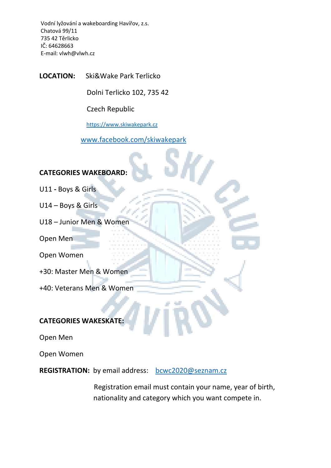**LOCATION:** Ski&Wake Park Terlicko

Dolni Terlicko 102, 735 42

Czech Republic

[https://www.skiwakepark.cz](https://www.skiwakepark.cz/)

[www.facebook.com/skiwakepark](http://www.facebook.com/skiwakepark)

# **CATEGORIES WAKEBOARD:**

- U11 **-** Boys & Girls
- U14 Boys & Girls
- U18 Junior Men & Women
- Open Men
- Open Women
- +30: Master Men & Women
- +40: Veterans Men & Women

# **CATEGORIES WAKESKATE:**

Open Men

Open Women

REGISTRATION: by email address: [bcwc2020@seznam.cz](mailto:bcwc2020@seznam.cz)

 Registration email must contain your name, year of birth, nationality and category which you want compete in.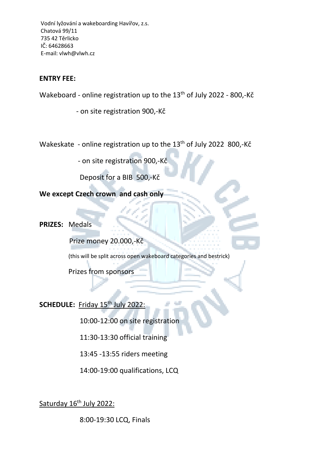## **ENTRY FEE:**

Wakeboard - online registration up to the 13<sup>th</sup> of July 2022 - 800,-Kč

- on site registration 900,-Kč

Wakeskate - online registration up to the  $13<sup>th</sup>$  of July 2022 800,-Kč

- on site registration 900,-Kč

Deposit for a BIB 500,-Kč

**We except Czech crown and cash only**

**PRIZES:** Medals

Prize money 20.000,-Kč

(this will be split across open wakeboard categories and bestrick)

a s

Prizes from sponsors

SCHEDULE: Friday 15<sup>th</sup> July 2022:

10:00-12:00 on site registration

11:30-13:30 official training

13:45 -13:55 riders meeting

14:00-19:00 qualifications, LCQ

Saturday 16<sup>th</sup> July 2022:

8:00-19:30 LCQ, Finals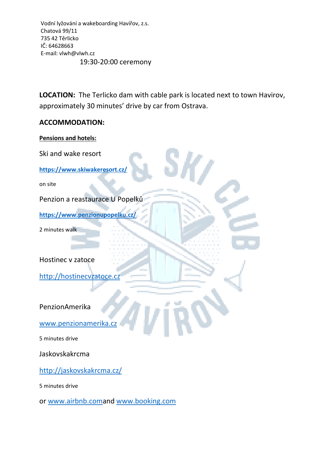**LOCATION:** The Terlicko dam with cable park is located next to town Havirov, approximately 30 minutes' drive by car from Ostrava.

#### **ACCOMMODATION:**

#### **Pensions and hotels:**

Ski and wake resort **<https://www.skiwakeresort.cz/>** on site Penzion a reastaurace U Popelků **<https://www.penzionupopelku.cz/>** 2 minutes walk

Hostinec v zatoce

[http://hostinecvzatoce.cz](http://hostinecvzatoce.cz/)

PenzionAmerika

[www.penzionamerika.cz](http://www.penzionamerika.cz/)

5 minutes drive

Jaskovskakrcma

<http://jaskovskakrcma.cz/>

5 minutes drive

or [www.airbnb.coma](http://www.airbnb.com/)nd [www.booking.com](http://www.booking.com/)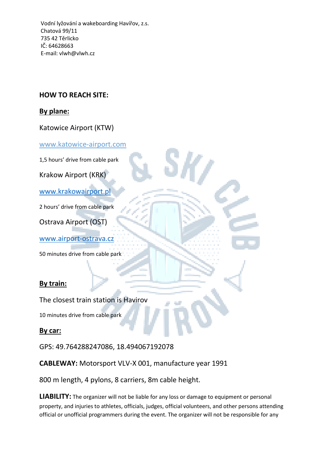# **HOW TO REACH SITE:**

## **By plane:**

Katowice Airport (KTW)

[www.katowice-airport.com](http://www.katowice-airport.com/)

1,5 hours' drive from cable park

Krakow Airport (KRK)

[www.krakowairport.pl](http://www.krakowairport.pl/)

2 hours' drive from cable park

Ostrava Airport (OST)

[www.airport-ostrava.cz](http://www.airport-ostrava.cz/)

50 minutes drive from cable park

# **By train:**

The closest train station is Havirov

10 minutes drive from cable park

**By car:**

GPS: 49.764288247086, 18.494067192078

**CABLEWAY:** Motorsport VLV-X 001, manufacture year 1991

800 m length, 4 pylons, 8 carriers, 8m cable height.

**LIABILITY:** The organizer will not be liable for any loss or damage to equipment or personal property, and injuries to athletes, officials, judges, official volunteers, and other persons attending official or unofficial programmers during the event. The organizer will not be responsible for any